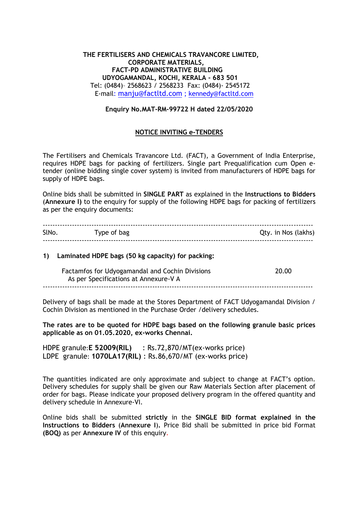## **THE FERTILISERS AND CHEMICALS TRAVANCORE LIMITED, CORPORATE MATERIALS, FACT-PD ADMINISTRATIVE BUILDING UDYOGAMANDAL, KOCHI, KERALA - 683 501**  Tel: (0484)– 2568623 / 2568233 Fax: (0484)- 2545172 E-mail: [manju@factltd.com](mailto:manju@factltd.com) ; [kennedy@factltd.com](mailto:kennedy@factltd.com)

## **Enquiry No.MAT-RM-99722 H dated 22/05/2020**

## **NOTICE INVITING e-TENDERS**

The Fertilisers and Chemicals Travancore Ltd. (FACT), a Government of India Enterprise, requires HDPE bags for packing of fertilizers. Single part Prequalification cum Open etender (online bidding single cover system) is invited from manufacturers of HDPE bags for supply of HDPE bags.

Online bids shall be submitted in **SINGLE PART** as explained in the **Instructions to Bidders**  (**Annexure I)** to the enquiry for supply of the following HDPE bags for packing of fertilizers as per the enquiry documents:

| <b>SINO</b> | Type of bag | Qty. in Nos (lakhs) |
|-------------|-------------|---------------------|
|             |             |                     |

#### **1) Laminated HDPE bags (50 kg capacity) for packing:**

| Factamfos for Udyogamandal and Cochin Divisions | 20.00 |
|-------------------------------------------------|-------|
| As per Specifications at Annexure-V A           |       |
|                                                 |       |

Delivery of bags shall be made at the Stores Department of FACT Udyogamandal Division / Cochin Division as mentioned in the Purchase Order /delivery schedules.

**The rates are to be quoted for HDPE bags based on the following granule basic prices applicable as on 01.05.2020, ex-works Chennai.**

HDPE granule:**E 52009(RIL)** : Rs.72,870/MT(ex-works price) LDPE granule: **1070LA17(RIL)** : Rs.86,670/MT (ex-works price)

The quantities indicated are only approximate and subject to change at FACT"s option. Delivery schedules for supply shall be given our Raw Materials Section after placement of order for bags. Please indicate your proposed delivery program in the offered quantity and delivery schedule in Annexure-VI.

Online bids shall be submitted **strictly** in the **SINGLE BID format explained in the Instructions to Bidders** (**Annexure I**)**.** Price Bid shall be submitted in price bid Format **(BOQ)** as per **Annexure IV** of this enquiry.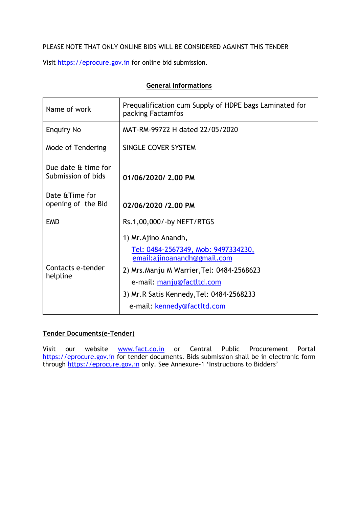## PLEASE NOTE THAT ONLY ONLINE BIDS WILL BE CONSIDERED AGAINST THIS TENDER

Visit [https://eprocure.gov.in](https://eprocure.gov.in/) for online bid submission.

# **General Informations**

| Name of work                              | Prequalification cum Supply of HDPE bags Laminated for<br>packing Factamfos                                                                                                                                                                      |  |  |
|-------------------------------------------|--------------------------------------------------------------------------------------------------------------------------------------------------------------------------------------------------------------------------------------------------|--|--|
| <b>Enquiry No</b>                         | MAT-RM-99722 H dated 22/05/2020                                                                                                                                                                                                                  |  |  |
| Mode of Tendering                         | SINGLE COVER SYSTEM                                                                                                                                                                                                                              |  |  |
| Due date & time for<br>Submission of bids | 01/06/2020/ 2.00 PM                                                                                                                                                                                                                              |  |  |
| Date & Time for<br>opening of the Bid     | 02/06/2020 /2.00 PM                                                                                                                                                                                                                              |  |  |
| <b>EMD</b>                                | Rs.1,00,000/-by NEFT/RTGS                                                                                                                                                                                                                        |  |  |
| Contacts e-tender<br>helpline             | 1) Mr. Ajino Anandh,<br>Tel: 0484-2567349, Mob: 9497334230,<br>email:ajinoanandh@gmail.com<br>2) Mrs. Manju M Warrier, Tel: 0484-2568623<br>e-mail: manju@factltd.com<br>3) Mr.R Satis Kennedy, Tel: 0484-2568233<br>e-mail: kennedy@factltd.com |  |  |

## **Tender Documents(e-Tender)**

Visit our website **[www.fact.co.in](http://www.fact.co.in/)** or Central Public Procurement Portal [https://eprocure.gov.in](https://eprocure.gov.in/) for tender documents. Bids submission shall be in electronic form through [https://eprocure.gov.in](https://eprocure.gov.in/) only. See Annexure-1 **'**Instructions to Bidders"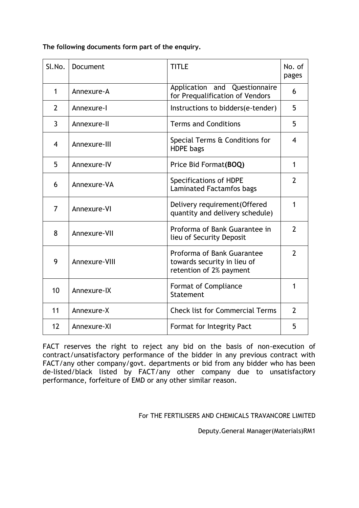**The following documents form part of the enquiry.**

| Sl.No.         | Document      | <b>TITLE</b>                                                                         | No. of<br>pages |
|----------------|---------------|--------------------------------------------------------------------------------------|-----------------|
| $\mathbf{1}$   | Annexure-A    | Questionnaire<br>Application and<br>for Prequalification of Vendors                  | 6               |
| $\overline{2}$ | Annexure-I    | Instructions to bidders(e-tender)                                                    | 5               |
| 3              | Annexure-II   | <b>Terms and Conditions</b>                                                          | 5               |
| 4              | Annexure-III  | Special Terms & Conditions for<br><b>HDPE</b> bags                                   | 4               |
| 5              | Annexure-IV   | Price Bid Format(BOQ)                                                                | $\mathbf 1$     |
| 6              | Annexure-VA   | Specifications of HDPE<br>Laminated Factamfos bags                                   | $\overline{2}$  |
| $\overline{7}$ | Annexure-VI   | Delivery requirement (Offered<br>quantity and delivery schedule)                     | 1               |
| 8              | Annexure-VII  | Proforma of Bank Guarantee in<br>lieu of Security Deposit                            | $\overline{2}$  |
| 9              | Annexure-VIII | Proforma of Bank Guarantee<br>towards security in lieu of<br>retention of 2% payment | $\overline{2}$  |
| 10             | Annexure-IX   | Format of Compliance<br>Statement                                                    | 1               |
| 11             | Annexure-X    | <b>Check list for Commercial Terms</b>                                               | $\overline{2}$  |
| 12             | Annexure-XI   | Format for Integrity Pact                                                            | 5               |

FACT reserves the right to reject any bid on the basis of non-execution of contract/unsatisfactory performance of the bidder in any previous contract with FACT/any other company/govt. departments or bid from any bidder who has been de-listed/black listed by FACT/any other company due to unsatisfactory performance, forfeiture of EMD or any other similar reason.

For THE FERTILISERS AND CHEMICALS TRAVANCORE LIMITED

Deputy.General Manager(Materials)RM1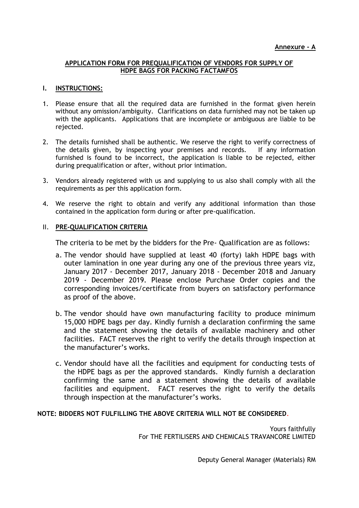## **APPLICATION FORM FOR PREQUALIFICATION OF VENDORS FOR SUPPLY OF HDPE BAGS FOR PACKING FACTAMFOS**

## **I. INSTRUCTIONS:**

- 1. Please ensure that all the required data are furnished in the format given herein without any omission/ambiguity. Clarifications on data furnished may not be taken up with the applicants. Applications that are incomplete or ambiguous are liable to be rejected.
- 2. The details furnished shall be authentic. We reserve the right to verify correctness of the details given, by inspecting your premises and records. If any information furnished is found to be incorrect, the application is liable to be rejected, either during prequalification or after, without prior intimation.
- 3. Vendors already registered with us and supplying to us also shall comply with all the requirements as per this application form.
- 4. We reserve the right to obtain and verify any additional information than those contained in the application form during or after pre-qualification.

## II. **PRE-QUALIFICATION CRITERIA**

The criteria to be met by the bidders for the Pre- Qualification are as follows:

- a. The vendor should have supplied at least 40 (forty) lakh HDPE bags with outer lamination in one year during any one of the previous three years viz, January 2017 - December 2017, January 2018 - December 2018 and January 2019 - December 2019. Please enclose Purchase Order copies and the corresponding invoices/certificate from buyers on satisfactory performance as proof of the above.
- b. The vendor should have own manufacturing facility to produce minimum 15,000 HDPE bags per day. Kindly furnish a declaration confirming the same and the statement showing the details of available machinery and other facilities. FACT reserves the right to verify the details through inspection at the manufacturer"s works.
- c. Vendor should have all the facilities and equipment for conducting tests of the HDPE bags as per the approved standards. Kindly furnish a declaration confirming the same and a statement showing the details of available facilities and equipment. FACT reserves the right to verify the details through inspection at the manufacturer"s works.

## **NOTE: BIDDERS NOT FULFILLING THE ABOVE CRITERIA WILL NOT BE CONSIDERED**.

Yours faithfully For THE FERTILISERS AND CHEMICALS TRAVANCORE LIMITED

Deputy General Manager (Materials) RM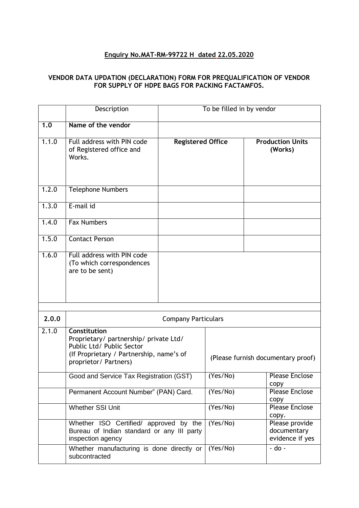# **Enquiry No.MAT-RM-99722 H dated 22.05.2020**

## **VENDOR DATA UPDATION (DECLARATION) FORM FOR PREQUALIFICATION OF VENDOR FOR SUPPLY OF HDPE BAGS FOR PACKING FACTAMFOS.**

|       | Description                                                                                                                                              |                                    | To be filled in by vendor |                                                  |
|-------|----------------------------------------------------------------------------------------------------------------------------------------------------------|------------------------------------|---------------------------|--------------------------------------------------|
| 1.0   | Name of the vendor                                                                                                                                       |                                    |                           |                                                  |
| 1.1.0 | Full address with PIN code<br>of Registered office and<br>Works.                                                                                         | <b>Registered Office</b>           |                           | <b>Production Units</b><br>(Works)               |
| 1.2.0 | <b>Telephone Numbers</b>                                                                                                                                 |                                    |                           |                                                  |
| 1.3.0 | E-mail id                                                                                                                                                |                                    |                           |                                                  |
| 1.4.0 | <b>Fax Numbers</b>                                                                                                                                       |                                    |                           |                                                  |
| 1.5.0 | <b>Contact Person</b>                                                                                                                                    |                                    |                           |                                                  |
| 1.6.0 | Full address with PIN code<br>(To which correspondences<br>are to be sent)                                                                               |                                    |                           |                                                  |
| 2.0.0 |                                                                                                                                                          | <b>Company Particulars</b>         |                           |                                                  |
| 2.1.0 | Constitution<br>Proprietary/ partnership/ private Ltd/<br>Public Ltd/ Public Sector<br>(If Proprietary / Partnership, name's of<br>proprietor/ Partners) | (Please furnish documentary proof) |                           |                                                  |
|       | Good and Service Tax Registration (GST)                                                                                                                  |                                    | (Yes/No)                  | <b>Please Enclose</b><br>copy                    |
|       | Permanent Account Number" (PAN) Card.                                                                                                                    |                                    | (Yes/No)                  | <b>Please Enclose</b><br>copy                    |
|       | Whether SSI Unit                                                                                                                                         |                                    | (Yes/No)                  | <b>Please Enclose</b><br>copy.                   |
|       | Whether ISO Certified/ approved by the<br>Bureau of Indian standard or any III party<br>inspection agency                                                |                                    | (Yes/No)                  | Please provide<br>documentary<br>evidence if yes |
|       | Whether manufacturing is done directly or<br>subcontracted                                                                                               |                                    | (Yes/No)                  | $-do -$                                          |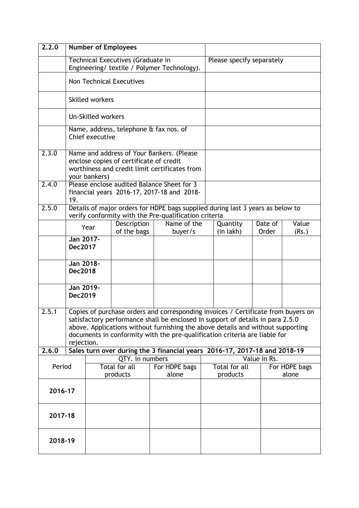| 2.2.0                                                  | <b>Number of Employees</b>                                                                                                                                                                                                                                                                                                                         |                        |                                         |                                                                                                                                         |              |                           |                  |                |
|--------------------------------------------------------|----------------------------------------------------------------------------------------------------------------------------------------------------------------------------------------------------------------------------------------------------------------------------------------------------------------------------------------------------|------------------------|-----------------------------------------|-----------------------------------------------------------------------------------------------------------------------------------------|--------------|---------------------------|------------------|----------------|
|                                                        |                                                                                                                                                                                                                                                                                                                                                    |                        | Technical Executives (Graduate in       |                                                                                                                                         |              | Please specify separately |                  |                |
|                                                        |                                                                                                                                                                                                                                                                                                                                                    |                        |                                         | Engineering/ textile / Polymer Technology).                                                                                             |              |                           |                  |                |
|                                                        |                                                                                                                                                                                                                                                                                                                                                    |                        | <b>Non Technical Executives</b>         |                                                                                                                                         |              |                           |                  |                |
|                                                        |                                                                                                                                                                                                                                                                                                                                                    | <b>Skilled workers</b> |                                         |                                                                                                                                         |              |                           |                  |                |
|                                                        |                                                                                                                                                                                                                                                                                                                                                    | Un-Skilled workers     |                                         |                                                                                                                                         |              |                           |                  |                |
|                                                        |                                                                                                                                                                                                                                                                                                                                                    | Chief executive        |                                         | Name, address, telephone & fax nos. of                                                                                                  |              |                           |                  |                |
| 2.3.0                                                  |                                                                                                                                                                                                                                                                                                                                                    | your bankers)          | enclose copies of certificate of credit | Name and address of Your Bankers. (Please<br>worthiness and credit limit certificates from                                              |              |                           |                  |                |
| 2.4.0                                                  | 19.                                                                                                                                                                                                                                                                                                                                                |                        |                                         | Please enclose audited Balance Sheet for 3<br>financial years 2016-17, 2017-18 and 2018-                                                |              |                           |                  |                |
| 2.5.0                                                  |                                                                                                                                                                                                                                                                                                                                                    |                        |                                         | Details of major orders for HDPE bags supplied during last 3 years as below to<br>verify conformity with the Pre-qualification criteria |              |                           |                  |                |
|                                                        |                                                                                                                                                                                                                                                                                                                                                    | Year                   | Description<br>of the bags              | Name of the<br>buyer/s                                                                                                                  |              | Quantity<br>(in lakh)     | Date of<br>Order | Value<br>(Rs.) |
|                                                        | Jan 2017-<br><b>Dec2017</b>                                                                                                                                                                                                                                                                                                                        |                        |                                         |                                                                                                                                         |              |                           |                  |                |
|                                                        | Jan 2018-<br><b>Dec2018</b>                                                                                                                                                                                                                                                                                                                        |                        |                                         |                                                                                                                                         |              |                           |                  |                |
|                                                        | Jan 2019-<br><b>Dec2019</b>                                                                                                                                                                                                                                                                                                                        |                        |                                         |                                                                                                                                         |              |                           |                  |                |
| 2.5.1                                                  | Copies of purchase orders and corresponding invoices / Certificate from buyers on<br>satisfactory performance shall be enclosed in support of details in para 2.5.0<br>above. Applications without furnishing the above details and without supporting<br>documents in conformity with the pre-qualification criteria are liable for<br>rejection. |                        |                                         |                                                                                                                                         |              |                           |                  |                |
| 2.6.0                                                  | Sales turn over during the 3 financial years 2016-17, 2017-18 and 2018-19                                                                                                                                                                                                                                                                          |                        |                                         |                                                                                                                                         |              |                           |                  |                |
| QTY. in numbers<br>Total for all<br>Period<br>products |                                                                                                                                                                                                                                                                                                                                                    | For HDPE bags<br>alone |                                         | Total for all<br>products                                                                                                               | Value in Rs. | For HDPE bags<br>alone    |                  |                |
| 2016-17                                                |                                                                                                                                                                                                                                                                                                                                                    |                        |                                         |                                                                                                                                         |              |                           |                  |                |
| 2017-18                                                |                                                                                                                                                                                                                                                                                                                                                    |                        |                                         |                                                                                                                                         |              |                           |                  |                |
| 2018-19                                                |                                                                                                                                                                                                                                                                                                                                                    |                        |                                         |                                                                                                                                         |              |                           |                  |                |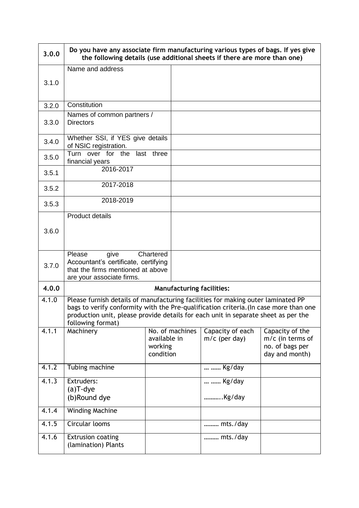| 3.0.0 | Do you have any associate firm manufacturing various types of bags. If yes give<br>the following details (use additional sheets if there are more than one)                                                                                                                          |           |                 |                                     |                                                                            |
|-------|--------------------------------------------------------------------------------------------------------------------------------------------------------------------------------------------------------------------------------------------------------------------------------------|-----------|-----------------|-------------------------------------|----------------------------------------------------------------------------|
|       | Name and address                                                                                                                                                                                                                                                                     |           |                 |                                     |                                                                            |
| 3.1.0 |                                                                                                                                                                                                                                                                                      |           |                 |                                     |                                                                            |
| 3.2.0 | Constitution                                                                                                                                                                                                                                                                         |           |                 |                                     |                                                                            |
| 3.3.0 | Names of common partners /<br><b>Directors</b>                                                                                                                                                                                                                                       |           |                 |                                     |                                                                            |
| 3.4.0 | Whether SSI, if YES give details<br>of NSIC registration.                                                                                                                                                                                                                            |           |                 |                                     |                                                                            |
| 3.5.0 | Turn over for the last three<br>financial years                                                                                                                                                                                                                                      |           |                 |                                     |                                                                            |
| 3.5.1 | 2016-2017                                                                                                                                                                                                                                                                            |           |                 |                                     |                                                                            |
| 3.5.2 | 2017-2018                                                                                                                                                                                                                                                                            |           |                 |                                     |                                                                            |
| 3.5.3 | 2018-2019                                                                                                                                                                                                                                                                            |           |                 |                                     |                                                                            |
|       | <b>Product details</b>                                                                                                                                                                                                                                                               |           |                 |                                     |                                                                            |
| 3.6.0 |                                                                                                                                                                                                                                                                                      |           |                 |                                     |                                                                            |
| 3.7.0 | Please<br>give<br>Accountant's certificate, certifying<br>that the firms mentioned at above<br>are your associate firms.                                                                                                                                                             | Chartered |                 |                                     |                                                                            |
| 4.0.0 | <b>Manufacturing facilities:</b>                                                                                                                                                                                                                                                     |           |                 |                                     |                                                                            |
| 4.1.0 | Please furnish details of manufacturing facilities for making outer laminated PP<br>bags to verify conformity with the Pre-qualification criteria. (In case more than one<br>production unit, please provide details for each unit in separate sheet as per the<br>following format) |           |                 |                                     |                                                                            |
| 4.1.1 | Machinery<br>available in<br>working<br>condition                                                                                                                                                                                                                                    |           | No. of machines | Capacity of each<br>$m/c$ (per day) | Capacity of the<br>$m/c$ (in terms of<br>no. of bags per<br>day and month) |
| 4.1.2 | Tubing machine                                                                                                                                                                                                                                                                       |           |                 | Kg/day                              |                                                                            |
| 4.1.3 | Extruders:                                                                                                                                                                                                                                                                           |           |                 | Kg/day                              |                                                                            |
|       | $(a)$ T-dye<br>(b)Round dye                                                                                                                                                                                                                                                          |           |                 | Kg/day                              |                                                                            |
| 4.1.4 | <b>Winding Machine</b>                                                                                                                                                                                                                                                               |           |                 |                                     |                                                                            |
| 4.1.5 | Circular looms                                                                                                                                                                                                                                                                       |           |                 | mts./day                            |                                                                            |
| 4.1.6 | <b>Extrusion coating</b><br>(lamination) Plants                                                                                                                                                                                                                                      |           |                 | mts./day                            |                                                                            |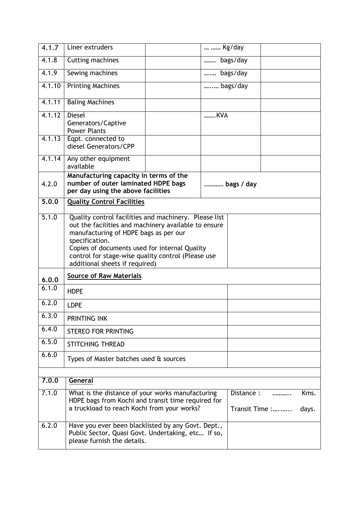| 4.1.7  | Liner extruders                                                                                                                                                                                                                                                                                                   |          | Kg/day     |  |  |  |  |
|--------|-------------------------------------------------------------------------------------------------------------------------------------------------------------------------------------------------------------------------------------------------------------------------------------------------------------------|----------|------------|--|--|--|--|
| 4.1.8  | Cutting machines                                                                                                                                                                                                                                                                                                  |          | bags/day   |  |  |  |  |
| 4.1.9  | Sewing machines                                                                                                                                                                                                                                                                                                   |          | bags/day   |  |  |  |  |
| 4.1.10 | <b>Printing Machines</b>                                                                                                                                                                                                                                                                                          | bags/day |            |  |  |  |  |
| 4.1.11 | <b>Baling Machines</b>                                                                                                                                                                                                                                                                                            |          |            |  |  |  |  |
| 4.1.12 | <b>Diesel</b><br>Generators/Captive<br><b>Power Plants</b>                                                                                                                                                                                                                                                        |          | KVA        |  |  |  |  |
| 4.1.13 | Eqpt. connected to<br>diesel Generators/CPP                                                                                                                                                                                                                                                                       |          |            |  |  |  |  |
| 4.1.14 | Any other equipment<br>available                                                                                                                                                                                                                                                                                  |          |            |  |  |  |  |
| 4.2.0  | Manufacturing capacity in terms of the<br>number of outer laminated HDPE bags<br>per day using the above facilities                                                                                                                                                                                               |          | bags / day |  |  |  |  |
| 5.0.0  | <b>Quality Control Facilities</b>                                                                                                                                                                                                                                                                                 |          |            |  |  |  |  |
| 5.1.0  | Quality control facilities and machinery. Please list<br>out the facilities and machinery available to ensure<br>manufacturing of HDPE bags as per our<br>specification.<br>Copies of documents used for internal Quality<br>control for stage-wise quality control (Please use<br>additional sheets if required) |          |            |  |  |  |  |
| 6.0.0  | <b>Source of Raw Materials</b>                                                                                                                                                                                                                                                                                    |          |            |  |  |  |  |
| 6.1.0  | <b>HDPE</b>                                                                                                                                                                                                                                                                                                       |          |            |  |  |  |  |
| 6.2.0  | <b>LDPE</b>                                                                                                                                                                                                                                                                                                       |          |            |  |  |  |  |
| 6.3.0  | PRINTING INK                                                                                                                                                                                                                                                                                                      |          |            |  |  |  |  |
| 6.4.0  | <b>STEREO FOR PRINTING</b>                                                                                                                                                                                                                                                                                        |          |            |  |  |  |  |
| 6.5.0  | <b>STITCHING THREAD</b>                                                                                                                                                                                                                                                                                           |          |            |  |  |  |  |
| 6.6.0  | Types of Master batches used & sources                                                                                                                                                                                                                                                                            |          |            |  |  |  |  |
| 7.0.0  | General                                                                                                                                                                                                                                                                                                           |          |            |  |  |  |  |
| 7.1.0  | What is the distance of your works manufacturing<br>Kms.<br>Distance :<br><br>HDPE bags from Kochi and transit time required for<br>a truckload to reach Kochi from your works?<br>Transit Time :<br>days.                                                                                                        |          |            |  |  |  |  |
| 6.2.0  | Have you ever been blacklisted by any Govt. Dept.,<br>Public Sector, Quasi Govt. Undertaking, etc If so,<br>please furnish the details.                                                                                                                                                                           |          |            |  |  |  |  |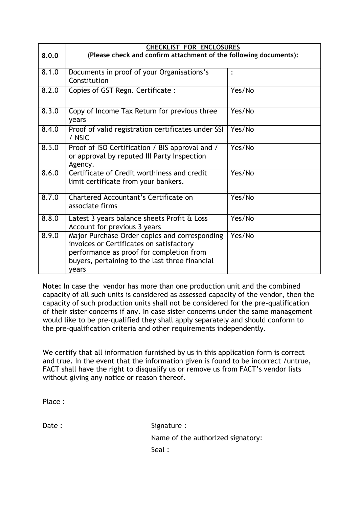|       | <b>CHECKLIST FOR ENCLOSURES</b>                                                                                                                                                                  |        |
|-------|--------------------------------------------------------------------------------------------------------------------------------------------------------------------------------------------------|--------|
| 8.0.0 | (Please check and confirm attachment of the following documents):                                                                                                                                |        |
| 8.1.0 | Documents in proof of your Organisations's<br>Constitution                                                                                                                                       |        |
| 8.2.0 | Copies of GST Regn. Certificate:                                                                                                                                                                 | Yes/No |
| 8.3.0 | Copy of Income Tax Return for previous three<br>years                                                                                                                                            | Yes/No |
| 8.4.0 | Proof of valid registration certificates under SSI<br>/ NSIC                                                                                                                                     | Yes/No |
| 8.5.0 | Proof of ISO Certification / BIS approval and /<br>or approval by reputed III Party Inspection<br>Agency.                                                                                        | Yes/No |
| 8.6.0 | Certificate of Credit worthiness and credit<br>limit certificate from your bankers.                                                                                                              | Yes/No |
| 8.7.0 | Chartered Accountant's Certificate on<br>associate firms                                                                                                                                         | Yes/No |
| 8.8.0 | Latest 3 years balance sheets Profit & Loss<br>Account for previous 3 years                                                                                                                      | Yes/No |
| 8.9.0 | Major Purchase Order copies and corresponding<br>invoices or Certificates on satisfactory<br>performance as proof for completion from<br>buyers, pertaining to the last three financial<br>years | Yes/No |

**Note:** In case the vendor has more than one production unit and the combined capacity of all such units is considered as assessed capacity of the vendor, then the capacity of such production units shall not be considered for the pre-qualification of their sister concerns if any. In case sister concerns under the same management would like to be pre-qualified they shall apply separately and should conform to the pre-qualification criteria and other requirements independently.

We certify that all information furnished by us in this application form is correct and true. In the event that the information given is found to be incorrect /untrue, FACT shall have the right to disqualify us or remove us from FACT"s vendor lists without giving any notice or reason thereof.

Place :

Date : Signature : Signature : Name of the authorized signatory: Seal :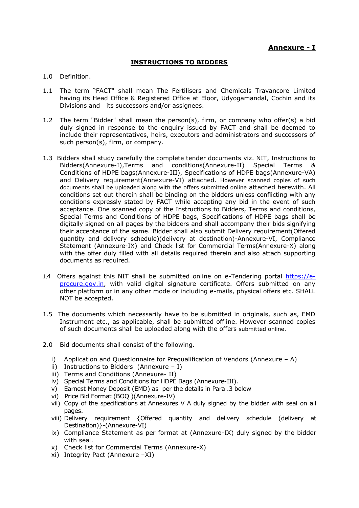## **INSTRUCTIONS TO BIDDERS**

#### 1.0 Definition.

- 1.1 The term "FACT" shall mean The Fertilisers and Chemicals Travancore Limited having its Head Office & Registered Office at Eloor, Udyogamandal, Cochin and its Divisions and its successors and/or assignees.
- 1.2 The term "Bidder" shall mean the person(s), firm, or company who offer(s) a bid duly signed in response to the enquiry issued by FACT and shall be deemed to include their representatives, heirs, executors and administrators and successors of such person(s), firm, or company.
- 1.3 Bidders shall study carefully the complete tender documents viz. NIT, Instructions to Bidders(Annexure-I),Terms and conditions(Annexure-II) Special Terms & Conditions of HDPE bags(Annexure-III), Specifications of HDPE bags(Annexure-VA) and Delivery requirement(Annexure-VI) attached. However scanned copies of such documents shall be uploaded along with the offers submitted online attached herewith. All conditions set out therein shall be binding on the bidders unless conflicting with any conditions expressly stated by FACT while accepting any bid in the event of such acceptance. One scanned copy of the Instructions to Bidders, Terms and conditions, Special Terms and Conditions of HDPE bags, Specifications of HDPE bags shall be digitally signed on all pages by the bidders and shall accompany their bids signifying their acceptance of the same. Bidder shall also submit Delivery requirement(Offered quantity and delivery schedule)(delivery at destination)-Annexure-VI, Compliance Statement (Annexure-IX) and Check list for Commercial Terms(Annexure-X) along with the offer duly filled with all details required therein and also attach supporting documents as required.
- 1.4 Offers against this NIT shall be submitted online on e-Tendering portal [https://e](https://e-procure.gov.in/)[procure.gov.in,](https://e-procure.gov.in/) with valid digital signature certificate. Offers submitted on any other platform or in any other mode or including e-mails, physical offers etc. SHALL NOT be accepted.
- 1.5 The documents which necessarily have to be submitted in originals, such as, EMD Instrument etc., as applicable, shall be submitted offline. However scanned copies of such documents shall be uploaded along with the offers submitted online.
- 2.0 Bid documents shall consist of the following.
	- i) Application and Questionnaire for Prequalification of Vendors (Annexure A)
	- ii) Instructions to Bidders (Annexure I)
	- iii) Terms and Conditions (Annexure- II)
	- iv) Special Terms and Conditions for HDPE Bags (Annexure-III).
	- v) Earnest Money Deposit (EMD) as per the details in Para .3 below
	- vi) Price Bid Format (BOQ )(Annexure-IV)
	- vii) Copy of the specifications at Annexures V A duly signed by the bidder with seal on all pages.
	- viii) Delivery requirement {Offered quantity and delivery schedule (delivery at Destination)}-(Annexure-VI)
	- ix) Compliance Statement as per format at (Annexure-IX) duly signed by the bidder with seal.
	- x) Check list for Commercial Terms (Annexure-X)
	- xi) Integrity Pact (Annexure –XI)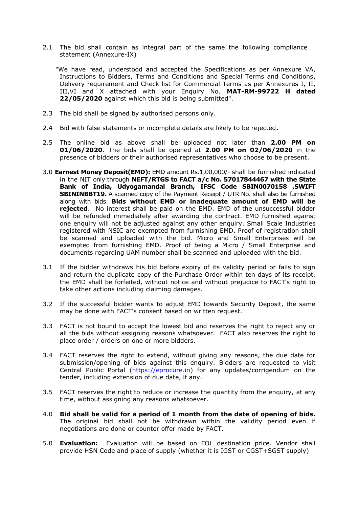2.1 The bid shall contain as integral part of the same the following compliance statement (Annexure-IX)

 "We have read, understood and accepted the Specifications as per Annexure VA, Instructions to Bidders, Terms and Conditions and Special Terms and Conditions, Delivery requirement and Check list for Commercial Terms as per Annexures I, II, III,VI and X attached with your Enquiry No. **MAT-RM-99722 H dated 22/05/2020** against which this bid is being submitted".

- 2.3 The bid shall be signed by authorised persons only.
- 2.4 Bid with false statements or incomplete details are likely to be rejected**.**
- 2.5 The online bid as above shall be uploaded not later than **2.00 PM on 01/06/2020**. The bids shall be opened at **2.00 PM on 02/06/2020** in the presence of bidders or their authorised representatives who choose to be present.
- 3.0 **Earnest Money Deposit(EMD):** EMD amount Rs.1,00,000/- shall be furnished indicated in the NIT only through **NEFT/RTGS to FACT a/c No. 57017844467 with the State Bank of India, Udyogamandal Branch, IFSC Code SBIN0070158 ,SWIFT SBININBBT19.** A scanned copy of the Payment Receipt / UTR No. shall also be furnished along with bids. **Bids without EMD or inadequate amount of EMD will be rejected**. No interest shall be paid on the EMD. EMD of the unsuccessful bidder will be refunded immediately after awarding the contract. EMD furnished against one enquiry will not be adjusted against any other enquiry. Small Scale Industries registered with NSIC are exempted from furnishing EMD. Proof of registration shall be scanned and uploaded with the bid. Micro and Small Enterprises will be exempted from furnishing EMD. Proof of being a Micro / Small Enterprise and documents regarding UAM number shall be scanned and uploaded with the bid.
- 3.1 If the bidder withdraws his bid before expiry of its validity period or fails to sign and return the duplicate copy of the Purchase Order within ten days of its receipt, the EMD shall be forfeited, without notice and without prejudice to FACT's right to take other actions including claiming damages.
- 3.2 If the successful bidder wants to adjust EMD towards Security Deposit, the same may be done with FACT"s consent based on written request.
- 3.3 FACT is not bound to accept the lowest bid and reserves the right to reject any or all the bids without assigning reasons whatsoever. FACT also reserves the right to place order / orders on one or more bidders.
- 3.4 FACT reserves the right to extend, without giving any reasons, the due date for submission/opening of bids against this enquiry. Bidders are requested to visit Central Public Portal [\(https://eprocure.in\)](https://eprocure.in/) for any updates/corrigendum on the tender, including extension of due date, if any.
- 3.5 FACT reserves the right to reduce or increase the quantity from the enquiry, at any time, without assigning any reasons whatsoever.
- 4.0 **Bid shall be valid for a period of 1 month from the date of opening of bids.**  The original bid shall not be withdrawn within the validity period even if negotiations are done or counter offer made by FACT.
- 5.0 **Evaluation:** Evaluation will be based on FOL destination price. Vendor shall provide HSN Code and place of supply (whether it is IGST or CGST+SGST supply)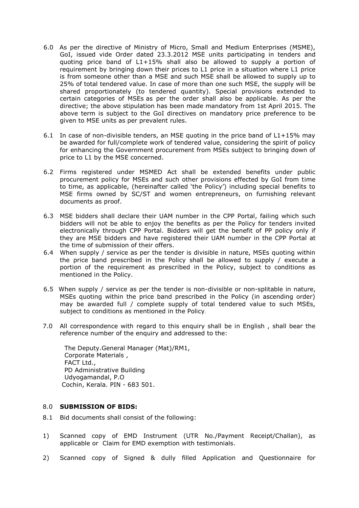- 6.0 As per the directive of Ministry of Micro, Small and Medium Enterprises (MSME), GoI, issued vide Order dated 23.3.2012 MSE units participating in tenders and quoting price band of L1+15% shall also be allowed to supply a portion of requirement by bringing down their prices to L1 price in a situation where L1 price is from someone other than a MSE and such MSE shall be allowed to supply up to 25% of total tendered value. In case of more than one such MSE, the supply will be shared proportionately (to tendered quantity). Special provisions extended to certain categories of MSEs as per the order shall also be applicable. As per the directive; the above stipulation has been made mandatory from 1st April 2015. The above term is subject to the GoI directives on mandatory price preference to be given to MSE units as per prevalent rules.
- 6.1 In case of non-divisible tenders, an MSE quoting in the price band of  $L1+15\%$  may be awarded for full/complete work of tendered value, considering the spirit of policy for enhancing the Government procurement from MSEs subject to bringing down of price to L1 by the MSE concerned.
- 6.2 Firms registered under MSMED Act shall be extended benefits under public procurement policy for MSEs and such other provisions effected by GoI from time to time, as applicable, (hereinafter called "the Policy") including special benefits to MSE firms owned by SC/ST and women entrepreneurs, on furnishing relevant documents as proof.
- 6.3 MSE bidders shall declare their UAM number in the CPP Portal, failing which such bidders will not be able to enjoy the benefits as per the Policy for tenders invited electronically through CPP Portal. Bidders will get the benefit of PP policy only if they are MSE bidders and have registered their UAM number in the CPP Portal at the time of submission of their offers.
- 6.4 When supply / service as per the tender is divisible in nature, MSEs quoting within the price band prescribed in the Policy shall be allowed to supply / execute a portion of the requirement as prescribed in the Policy, subject to conditions as mentioned in the Policy.
- 6.5 When supply / service as per the tender is non-divisible or non-splitable in nature, MSEs quoting within the price band prescribed in the Policy (in ascending order) may be awarded full / complete supply of total tendered value to such MSEs, subject to conditions as mentioned in the Policy.
- 7.0 All correspondence with regard to this enquiry shall be in English , shall bear the reference number of the enquiry and addressed to the:

The Deputy.General Manager (Mat)/RM1, Corporate Materials , FACT Ltd., PD Administrative Building Udyogamandal, P.O Cochin, Kerala. PIN - 683 501.

#### 8.0 **SUBMISSION OF BIDS:**

- 8.1 Bid documents shall consist of the following:
- 1) Scanned copy of EMD Instrument (UTR No./Payment Receipt/Challan), as applicable or Claim for EMD exemption with testimonials.
- 2) Scanned copy of Signed & dully filled Application and Questionnaire for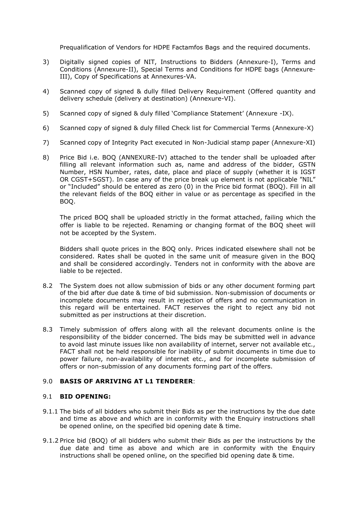Prequalification of Vendors for HDPE Factamfos Bags and the required documents.

- 3) Digitally signed copies of NIT, Instructions to Bidders (Annexure-I), Terms and Conditions (Annexure-II), Special Terms and Conditions for HDPE bags (Annexure-III), Copy of Specifications at Annexures-VA.
- 4) Scanned copy of signed & dully filled Delivery Requirement (Offered quantity and delivery schedule (delivery at destination) (Annexure-VI).
- 5) Scanned copy of signed & duly filled "Compliance Statement" (Annexure -IX).
- 6) Scanned copy of signed & duly filled Check list for Commercial Terms (Annexure-X)
- 7) Scanned copy of Integrity Pact executed in Non-Judicial stamp paper (Annexure-XI)
- 8) Price Bid i.e. BOQ (ANNEXURE-IV) attached to the tender shall be uploaded after filling all relevant information such as, name and address of the bidder, GSTN Number, HSN Number, rates, date, place and place of supply (whether it is IGST OR CGST+SGST). In case any of the price break up element is not applicable "NIL" or "Included" should be entered as zero (0) in the Price bid format (BOQ). Fill in all the relevant fields of the BOQ either in value or as percentage as specified in the BOQ.

The priced BOQ shall be uploaded strictly in the format attached, failing which the offer is liable to be rejected. Renaming or changing format of the BOQ sheet will not be accepted by the System.

Bidders shall quote prices in the BOQ only. Prices indicated elsewhere shall not be considered. Rates shall be quoted in the same unit of measure given in the BOQ and shall be considered accordingly. Tenders not in conformity with the above are liable to be rejected.

- 8.2 The System does not allow submission of bids or any other document forming part of the bid after due date & time of bid submission. Non-submission of documents or incomplete documents may result in rejection of offers and no communication in this regard will be entertained. FACT reserves the right to reject any bid not submitted as per instructions at their discretion.
- 8.3 Timely submission of offers along with all the relevant documents online is the responsibility of the bidder concerned. The bids may be submitted well in advance to avoid last minute issues like non availability of internet, server not available etc., FACT shall not be held responsible for inability of submit documents in time due to power failure, non-availability of internet etc., and for incomplete submission of offers or non-submission of any documents forming part of the offers.

#### 9.0 **BASIS OF ARRIVING AT L1 TENDERER**:

## 9.1 **BID OPENING:**

- 9.1.1 The bids of all bidders who submit their Bids as per the instructions by the due date and time as above and which are in conformity with the Enquiry instructions shall be opened online, on the specified bid opening date & time.
- 9.1.2 Price bid (BOQ) of all bidders who submit their Bids as per the instructions by the due date and time as above and which are in conformity with the Enquiry instructions shall be opened online, on the specified bid opening date & time.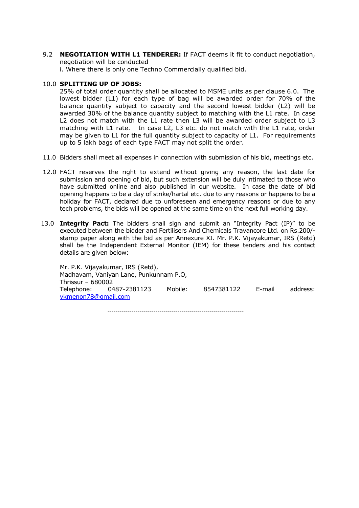9.2 **NEGOTIATION WITH L1 TENDERER:** If FACT deems it fit to conduct negotiation, negotiation will be conducted

i. Where there is only one Techno Commercially qualified bid.

#### 10.0 **SPLITTING UP OF JOBS:**

25% of total order quantity shall be allocated to MSME units as per clause 6.0. The lowest bidder (L1) for each type of bag will be awarded order for 70% of the balance quantity subject to capacity and the second lowest bidder (L2) will be awarded 30% of the balance quantity subject to matching with the L1 rate. In case L2 does not match with the L1 rate then L3 will be awarded order subject to L3 matching with L1 rate. In case L2, L3 etc. do not match with the L1 rate, order may be given to L1 for the full quantity subject to capacity of L1. For requirements up to 5 lakh bags of each type FACT may not split the order.

- 11.0 Bidders shall meet all expenses in connection with submission of his bid, meetings etc.
- 12.0 FACT reserves the right to extend without giving any reason, the last date for submission and opening of bid, but such extension will be duly intimated to those who have submitted online and also published in our website. In case the date of bid opening happens to be a day of strike/hartal etc. due to any reasons or happens to be a holiday for FACT, declared due to unforeseen and emergency reasons or due to any tech problems, the bids will be opened at the same time on the next full working day.
- 13.0 **Integrity Pact:** The bidders shall sign and submit an "Integrity Pact (IP)" to be executed between the bidder and Fertilisers And Chemicals Travancore Ltd. on Rs.200/ stamp paper along with the bid as per Annexure XI. Mr. P.K. Vijayakumar, IRS (Retd) shall be the Independent External Monitor (IEM) for these tenders and his contact details are given below:

Mr. P.K. Vijayakumar, IRS (Retd), Madhavam, Vaniyan Lane, Punkunnam P.O, Thrissur – 680002 Telephone: 0487-2381123 Mobile: 8547381122 E-mail address: [vkmenon78@gmail.com](mailto:vkmenon78@gmail.com)

--------------------------------------------------------------------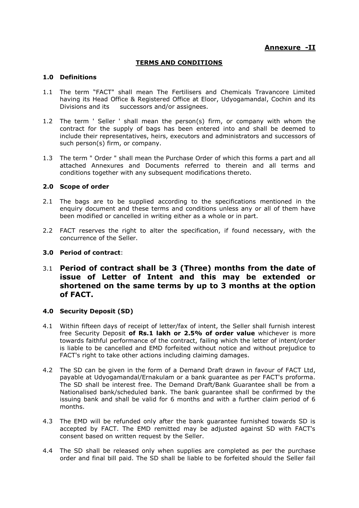# **Annexure -II**

## **TERMS AND CONDITIONS**

## **1.0 Definitions**

- 1.1 The term "FACT" shall mean The Fertilisers and Chemicals Travancore Limited having its Head Office & Registered Office at Eloor, Udyogamandal, Cochin and its Divisions and its successors and/or assignees.
- 1.2 The term ' Seller ' shall mean the person(s) firm, or company with whom the contract for the supply of bags has been entered into and shall be deemed to include their representatives, heirs, executors and administrators and successors of such person(s) firm, or company.
- 1.3 The term " Order " shall mean the Purchase Order of which this forms a part and all attached Annexures and Documents referred to therein and all terms and conditions together with any subsequent modifications thereto.

## **2.0 Scope of order**

- 2.1 The bags are to be supplied according to the specifications mentioned in the enquiry document and these terms and conditions unless any or all of them have been modified or cancelled in writing either as a whole or in part.
- 2.2 FACT reserves the right to alter the specification, if found necessary, with the concurrence of the Seller.

## **3.0 Period of contract**:

3.1 **Period of contract shall be 3 (Three) months from the date of issue of Letter of Intent and this may be extended or shortened on the same terms by up to 3 months at the option of FACT.**

#### **4.0 Security Deposit (SD)**

- 4.1 Within fifteen days of receipt of letter/fax of intent, the Seller shall furnish interest free Security Deposit **of Rs.1 lakh or 2.5% of order value** whichever is more towards faithful performance of the contract, failing which the letter of intent/order is liable to be cancelled and EMD forfeited without notice and without prejudice to FACT's right to take other actions including claiming damages.
- 4.2 The SD can be given in the form of a Demand Draft drawn in favour of FACT Ltd, payable at Udyogamandal/Ernakulam or a bank guarantee as per FACT's proforma. The SD shall be interest free. The Demand Draft/Bank Guarantee shall be from a Nationalised bank/scheduled bank. The bank guarantee shall be confirmed by the issuing bank and shall be valid for 6 months and with a further claim period of 6 months.
- 4.3 The EMD will be refunded only after the bank guarantee furnished towards SD is accepted by FACT. The EMD remitted may be adjusted against SD with FACT's consent based on written request by the Seller.
- 4.4 The SD shall be released only when supplies are completed as per the purchase order and final bill paid. The SD shall be liable to be forfeited should the Seller fail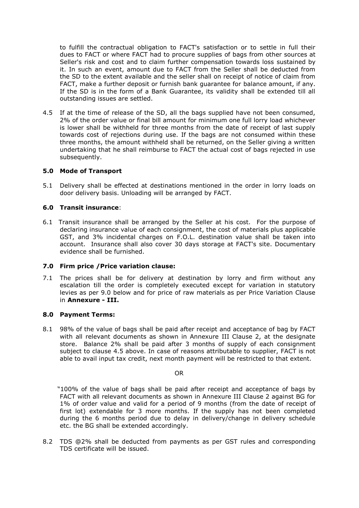to fulfill the contractual obligation to FACT's satisfaction or to settle in full their dues to FACT or where FACT had to procure supplies of bags from other sources at Seller's risk and cost and to claim further compensation towards loss sustained by it. In such an event, amount due to FACT from the Seller shall be deducted from the SD to the extent available and the seller shall on receipt of notice of claim from FACT, make a further deposit or furnish bank guarantee for balance amount, if any. If the SD is in the form of a Bank Guarantee, its validity shall be extended till all outstanding issues are settled.

4.5 If at the time of release of the SD, all the bags supplied have not been consumed, 2% of the order value or final bill amount for minimum one full lorry load whichever is lower shall be withheld for three months from the date of receipt of last supply towards cost of rejections during use. If the bags are not consumed within these three months, the amount withheld shall be returned, on the Seller giving a written undertaking that he shall reimburse to FACT the actual cost of bags rejected in use subsequently.

## **5.0 Mode of Transport**

5.1 Delivery shall be effected at destinations mentioned in the order in lorry loads on door delivery basis. Unloading will be arranged by FACT.

## **6.0 Transit insurance**:

6.1 Transit insurance shall be arranged by the Seller at his cost. For the purpose of declaring insurance value of each consignment, the cost of materials plus applicable GST, and 3% incidental charges on F.O.L. destination value shall be taken into account. Insurance shall also cover 30 days storage at FACT's site. Documentary evidence shall be furnished.

#### **7.0 Firm price /Price variation clause:**

7.1 The prices shall be for delivery at destination by lorry and firm without any escalation till the order is completely executed except for variation in statutory levies as per 9.0 below and for price of raw materials as per Price Variation Clause in **Annexure - III.**

#### **8.0 Payment Terms:**

8.1 98% of the value of bags shall be paid after receipt and acceptance of bag by FACT with all relevant documents as shown in Annexure III Clause 2, at the designate store. Balance 2% shall be paid after 3 months of supply of each consignment subject to clause 4.5 above. In case of reasons attributable to supplier, FACT is not able to avail input tax credit, next month payment will be restricted to that extent.

#### OR

 "100% of the value of bags shall be paid after receipt and acceptance of bags by FACT with all relevant documents as shown in Annexure III Clause 2 against BG for 1% of order value and valid for a period of 9 months (from the date of receipt of first lot) extendable for 3 more months. If the supply has not been completed during the 6 months period due to delay in delivery/change in delivery schedule etc. the BG shall be extended accordingly.

8.2 TDS @2% shall be deducted from payments as per GST rules and corresponding TDS certificate will be issued.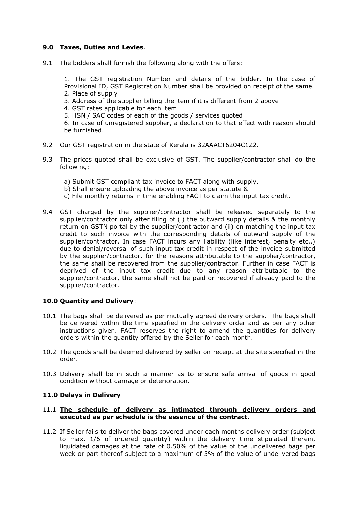## **9.0 Taxes, Duties and Levies**.

9.1 The bidders shall furnish the following along with the offers:

1. The GST registration Number and details of the bidder. In the case of Provisional ID, GST Registration Number shall be provided on receipt of the same. 2. Place of supply

- 3. Address of the supplier billing the item if it is different from 2 above
- 4. GST rates applicable for each item
- 5. HSN / SAC codes of each of the goods / services quoted
- 6. In case of unregistered supplier, a declaration to that effect with reason should be furnished.
- 9.2 Our GST registration in the state of Kerala is 32AAACT6204C1Z2.
- 9.3 The prices quoted shall be exclusive of GST. The supplier/contractor shall do the following:
	- a) Submit GST compliant tax invoice to FACT along with supply.
	- b) Shall ensure uploading the above invoice as per statute &
	- c) File monthly returns in time enabling FACT to claim the input tax credit.
- 9.4 GST charged by the supplier/contractor shall be released separately to the supplier/contractor only after filing of (i) the outward supply details & the monthly return on GSTN portal by the supplier/contractor and (ii) on matching the input tax credit to such invoice with the corresponding details of outward supply of the supplier/contractor. In case FACT incurs any liability (like interest, penalty etc..) due to denial/reversal of such input tax credit in respect of the invoice submitted by the supplier/contractor, for the reasons attributable to the supplier/contractor, the same shall be recovered from the supplier/contractor. Further in case FACT is deprived of the input tax credit due to any reason attributable to the supplier/contractor, the same shall not be paid or recovered if already paid to the supplier/contractor.

## **10.0 Quantity and Delivery**:

- 10.1 The bags shall be delivered as per mutually agreed delivery orders. The bags shall be delivered within the time specified in the delivery order and as per any other instructions given. FACT reserves the right to amend the quantities for delivery orders within the quantity offered by the Seller for each month.
- 10.2 The goods shall be deemed delivered by seller on receipt at the site specified in the order.
- 10.3 Delivery shall be in such a manner as to ensure safe arrival of goods in good condition without damage or deterioration.

#### **11.0 Delays in Delivery**

#### 11.1 **The schedule of delivery as intimated through delivery orders and executed as per schedule is the essence of the contract.**

11.2 If Seller fails to deliver the bags covered under each months delivery order (subject to max. 1/6 of ordered quantity) within the delivery time stipulated therein, liquidated damages at the rate of 0.50% of the value of the undelivered bags per week or part thereof subject to a maximum of 5% of the value of undelivered bags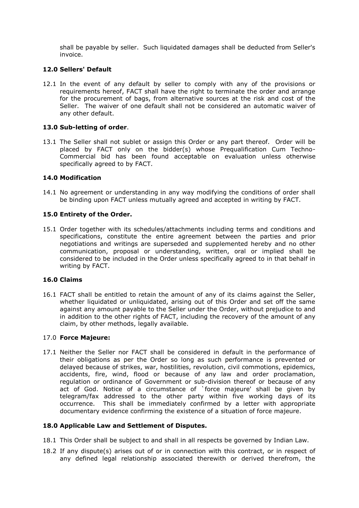shall be payable by seller. Such liquidated damages shall be deducted from Seller's invoice.

## **12.0 Sellers' Default**

12.1 In the event of any default by seller to comply with any of the provisions or requirements hereof, FACT shall have the right to terminate the order and arrange for the procurement of bags, from alternative sources at the risk and cost of the Seller. The waiver of one default shall not be considered an automatic waiver of any other default.

#### **13.0 Sub-letting of order**.

13.1 The Seller shall not sublet or assign this Order or any part thereof. Order will be placed by FACT only on the bidder(s) whose Prequalification Cum Techno-Commercial bid has been found acceptable on evaluation unless otherwise specifically agreed to by FACT.

#### **14.0 Modification**

14.1 No agreement or understanding in any way modifying the conditions of order shall be binding upon FACT unless mutually agreed and accepted in writing by FACT.

## **15.0 Entirety of the Order.**

15.1 Order together with its schedules/attachments including terms and conditions and specifications, constitute the entire agreement between the parties and prior negotiations and writings are superseded and supplemented hereby and no other communication, proposal or understanding, written, oral or implied shall be considered to be included in the Order unless specifically agreed to in that behalf in writing by FACT.

#### **16.0 Claims**

16.1 FACT shall be entitled to retain the amount of any of its claims against the Seller, whether liquidated or unliquidated, arising out of this Order and set off the same against any amount payable to the Seller under the Order, without prejudice to and in addition to the other rights of FACT, including the recovery of the amount of any claim, by other methods, legally available.

#### 17.0 **Force Majeure:**

17.1 Neither the Seller nor FACT shall be considered in default in the performance of their obligations as per the Order so long as such performance is prevented or delayed because of strikes, war, hostilities, revolution, civil commotions, epidemics, accidents, fire, wind, flood or because of any law and order proclamation, regulation or ordinance of Government or sub-division thereof or because of any act of God. Notice of a circumstance of `force majeure' shall be given by telegram/fax addressed to the other party within five working days of its occurrence. This shall be immediately confirmed by a letter with appropriate documentary evidence confirming the existence of a situation of force majeure.

#### **18.0 Applicable Law and Settlement of Disputes.**

- 18.1 This Order shall be subject to and shall in all respects be governed by Indian Law.
- 18.2 If any dispute(s) arises out of or in connection with this contract, or in respect of any defined legal relationship associated therewith or derived therefrom, the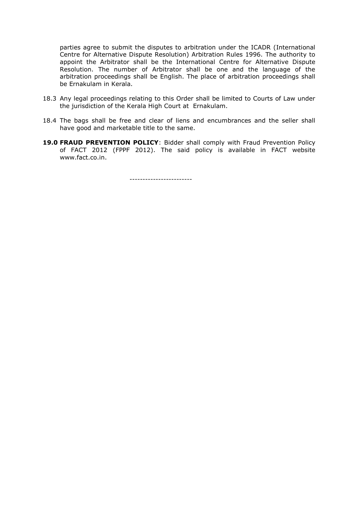parties agree to submit the disputes to arbitration under the ICADR (International Centre for Alternative Dispute Resolution) Arbitration Rules 1996. The authority to appoint the Arbitrator shall be the International Centre for Alternative Dispute Resolution. The number of Arbitrator shall be one and the language of the arbitration proceedings shall be English. The place of arbitration proceedings shall be Ernakulam in Kerala.

- 18.3 Any legal proceedings relating to this Order shall be limited to Courts of Law under the jurisdiction of the Kerala High Court at Ernakulam.
- 18.4 The bags shall be free and clear of liens and encumbrances and the seller shall have good and marketable title to the same.
- **19.0 FRAUD PREVENTION POLICY**: Bidder shall comply with Fraud Prevention Policy of FACT 2012 (FPPF 2012). The said policy is available in FACT website www.fact.co.in.

------------------------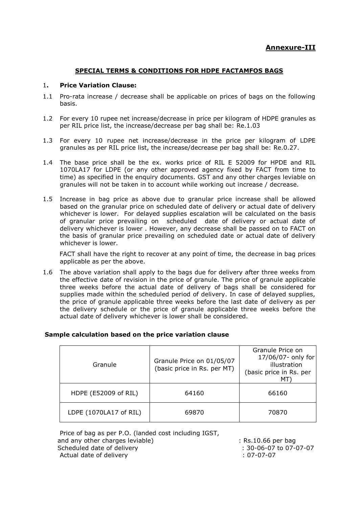## **SPECIAL TERMS & CONDITIONS FOR HDPE FACTAMFOS BAGS**

#### 1**. Price Variation Clause:**

- 1.1 Pro-rata increase / decrease shall be applicable on prices of bags on the following basis.
- 1.2 For every 10 rupee net increase/decrease in price per kilogram of HDPE granules as per RIL price list, the increase/decrease per bag shall be: Re.1.03
- 1.3 For every 10 rupee net increase/decrease in the price per kilogram of LDPE granules as per RIL price list, the increase/decrease per bag shall be: Re.0.27.
- 1.4 The base price shall be the ex. works price of RIL E 52009 for HPDE and RIL 1070LA17 for LDPE (or any other approved agency fixed by FACT from time to time) as specified in the enquiry documents. GST and any other charges leviable on granules will not be taken in to account while working out increase / decrease.
- 1.5 Increase in bag price as above due to granular price increase shall be allowed based on the granular price on scheduled date of delivery or actual date of delivery whichever is lower. For delayed supplies escalation will be calculated on the basis of granular price prevailing on scheduled date of delivery or actual date of delivery whichever is lower . However, any decrease shall be passed on to FACT on the basis of granular price prevailing on scheduled date or actual date of delivery whichever is lower.

 FACT shall have the right to recover at any point of time, the decrease in bag prices applicable as per the above.

1.6 The above variation shall apply to the bags due for delivery after three weeks from the effective date of revision in the price of granule. The price of granule applicable three weeks before the actual date of delivery of bags shall be considered for supplies made within the scheduled period of delivery. In case of delayed supplies, the price of granule applicable three weeks before the last date of delivery as per the delivery schedule or the price of granule applicable three weeks before the actual date of delivery whichever is lower shall be considered.

| Granule                | Granule Price on 01/05/07<br>(basic price in Rs. per MT) | Granule Price on<br>17/06/07- only for<br>illustration<br>(basic price in Rs. per<br>МT |
|------------------------|----------------------------------------------------------|-----------------------------------------------------------------------------------------|
| HDPE (E52009 of RIL)   | 64160                                                    | 66160                                                                                   |
| LDPE (1070LA17 of RIL) | 69870                                                    | 70870                                                                                   |

#### **Sample calculation based on the price variation clause**

Price of bag as per P.O. (landed cost including IGST, and any other charges leviable)<br>
Scheduled date of delivery

scheduled date of delivery

and any other charges leviable)  $\therefore 30-06-07$  to 07-07-07 Scheduled date of delivery Actual date of delivery in the contract of the contract of the contract of the contract of the contract of the contract of the contract of the contract of the contract of the contract of the contract of the contract of the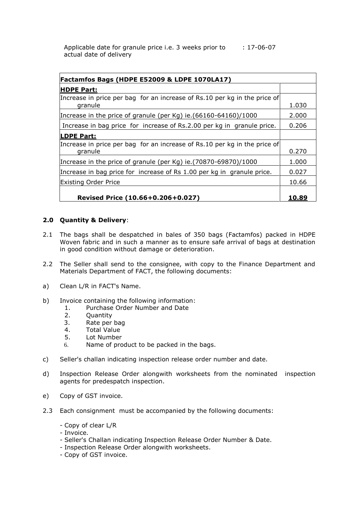Applicable date for granule price i.e. 3 weeks prior to : 17-06-07 actual date of delivery

| Factamfos Bags (HDPE E52009 & LDPE 1070LA17)                                         |       |  |  |
|--------------------------------------------------------------------------------------|-------|--|--|
| <b>HDPE Part:</b>                                                                    |       |  |  |
| Increase in price per bag for an increase of Rs.10 per kg in the price of<br>granule | 1.030 |  |  |
| Increase in the price of granule (per Kg) ie. $(66160 - 64160)/1000$                 | 2.000 |  |  |
| Increase in bag price for increase of Rs.2.00 per kg in granule price.               | 0.206 |  |  |
| <b>LDPE Part:</b>                                                                    |       |  |  |
| Increase in price per bag for an increase of Rs.10 per kg in the price of<br>granule | 0.270 |  |  |
| Increase in the price of granule (per Kg) ie. (70870-69870)/1000                     | 1.000 |  |  |
| Increase in bag price for increase of Rs 1.00 per kg in granule price.               | 0.027 |  |  |
| <b>Existing Order Price</b>                                                          | 10.66 |  |  |
| Revised Price (10.66+0.206+0.027)                                                    | 10.89 |  |  |

## **2.0 Quantity & Delivery**:

- 2.1 The bags shall be despatched in bales of 350 bags (Factamfos) packed in HDPE Woven fabric and in such a manner as to ensure safe arrival of bags at destination in good condition without damage or deterioration.
- 2.2 The Seller shall send to the consignee, with copy to the Finance Department and Materials Department of FACT, the following documents:
- a) Clean L/R in FACT's Name.
- b) Invoice containing the following information:
	- 1. Purchase Order Number and Date
	- 2. Quantity
	- 3. Rate per bag
	- 4. Total Value
	- 5. Lot Number
	- 6. Name of product to be packed in the bags.
- c) Seller's challan indicating inspection release order number and date.
- d) Inspection Release Order alongwith worksheets from the nominated inspection agents for predespatch inspection.
- e) Copy of GST invoice.
- 2.3 Each consignment must be accompanied by the following documents:
	- Copy of clear L/R
	- Invoice.
	- Seller's Challan indicating Inspection Release Order Number & Date.
	- Inspection Release Order alongwith worksheets.
	- Copy of GST invoice.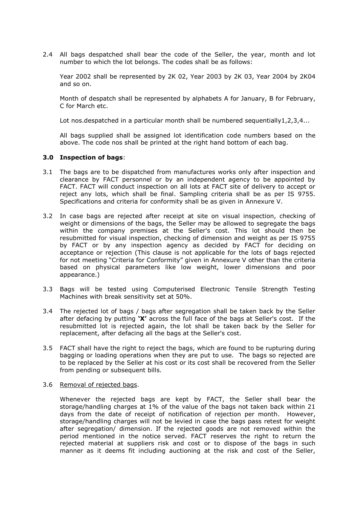2.4 All bags despatched shall bear the code of the Seller, the year, month and lot number to which the lot belongs. The codes shall be as follows:

Year 2002 shall be represented by 2K 02, Year 2003 by 2K 03, Year 2004 by 2K04 and so on.

Month of despatch shall be represented by alphabets A for January, B for February, C for March etc.

Lot nos.despatched in a particular month shall be numbered sequentially  $1, 2, 3, 4...$ 

All bags supplied shall be assigned lot identification code numbers based on the above. The code nos shall be printed at the right hand bottom of each bag.

#### **3.0 Inspection of bags**:

- 3.1 The bags are to be dispatched from manufactures works only after inspection and clearance by FACT personnel or by an independent agency to be appointed by FACT. FACT will conduct inspection on all lots at FACT site of delivery to accept or reject any lots, which shall be final. Sampling criteria shall be as per IS 9755. Specifications and criteria for conformity shall be as given in Annexure V.
- 3.2 In case bags are rejected after receipt at site on visual inspection, checking of weight or dimensions of the bags, the Seller may be allowed to segregate the bags within the company premises at the Seller's cost. This lot should then be resubmitted for visual inspection, checking of dimension and weight as per IS 9755 by FACT or by any inspection agency as decided by FACT for deciding on acceptance or rejection (This clause is not applicable for the lots of bags rejected for not meeting "Criteria for Conformity" given in Annexure V other than the criteria based on physical parameters like low weight, lower dimensions and poor appearance.)
- 3.3 Bags will be tested using Computerised Electronic Tensile Strength Testing Machines with break sensitivity set at 50%.
- 3.4 The rejected lot of bags / bags after segregation shall be taken back by the Seller after defacing by putting **'X'** across the full face of the bags at Seller's cost. If the resubmitted lot is rejected again, the lot shall be taken back by the Seller for replacement, after defacing all the bags at the Seller's cost.
- 3.5 FACT shall have the right to reject the bags, which are found to be rupturing during bagging or loading operations when they are put to use. The bags so rejected are to be replaced by the Seller at his cost or its cost shall be recovered from the Seller from pending or subsequent bills.
- 3.6 Removal of rejected bags.

Whenever the rejected bags are kept by FACT, the Seller shall bear the storage/handling charges at 1% of the value of the bags not taken back within 21 days from the date of receipt of notification of rejection per month. However, storage/handling charges will not be levied in case the bags pass retest for weight after segregation/ dimension. If the rejected goods are not removed within the period mentioned in the notice served. FACT reserves the right to return the rejected material at suppliers risk and cost or to dispose of the bags in such manner as it deems fit including auctioning at the risk and cost of the Seller,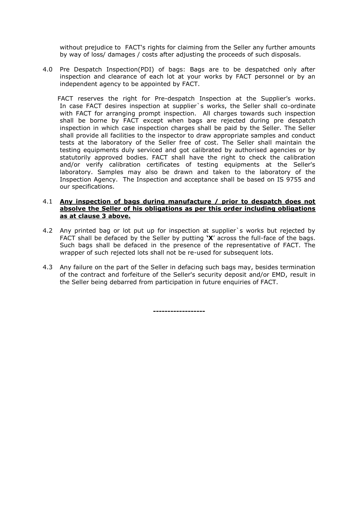without prejudice to FACT's rights for claiming from the Seller any further amounts by way of loss/ damages / costs after adjusting the proceeds of such disposals.

4.0 Pre Despatch Inspection(PDI) of bags: Bags are to be despatched only after inspection and clearance of each lot at your works by FACT personnel or by an independent agency to be appointed by FACT.

FACT reserves the right for Pre-despatch Inspection at the Supplier's works. In case FACT desires inspection at supplier`s works, the Seller shall co-ordinate with FACT for arranging prompt inspection. All charges towards such inspection shall be borne by FACT except when bags are rejected during pre despatch inspection in which case inspection charges shall be paid by the Seller. The Seller shall provide all facilities to the inspector to draw appropriate samples and conduct tests at the laboratory of the Seller free of cost. The Seller shall maintain the testing equipments duly serviced and got calibrated by authorised agencies or by statutorily approved bodies. FACT shall have the right to check the calibration and/or verify calibration certificates of testing equipments at the Seller's laboratory. Samples may also be drawn and taken to the laboratory of the Inspection Agency. The Inspection and acceptance shall be based on IS 9755 and our specifications.

#### 4.1 **Any inspection of bags during manufacture / prior to despatch does not absolve the Seller of his obligations as per this order including obligations as at clause 3 above.**

- 4.2 Any printed bag or lot put up for inspection at supplier`s works but rejected by FACT shall be defaced by the Seller by putting **'X**" across the full-face of the bags. Such bags shall be defaced in the presence of the representative of FACT. The wrapper of such rejected lots shall not be re-used for subsequent lots.
- 4.3 Any failure on the part of the Seller in defacing such bags may, besides termination of the contract and forfeiture of the Seller's security deposit and/or EMD, result in the Seller being debarred from participation in future enquiries of FACT.

**------------------**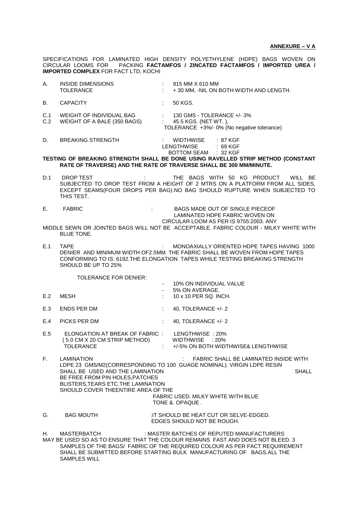SPECIFICATIONS FOR LAMINATED HIGH DENSITY POLYETHYLENE (HDPE) BAGS WOVEN ON CIRCULAR LOOMS FOR PACKING **FACTAMFOS / ZINCATED FACTAMFOS / IMPORTED UREA / IMPORTED COMPLEX** FOR FACT LTD, KOCHI

| Α.             | INSIDE DIMENSIONS<br><b>TOLERANCE</b>                                                                                                            |                            | 915 MM X 610 MM<br>+30 MM, -NIL ON BOTH WIDTH AND LENGTH.                                                                                                                                                                                                                          |
|----------------|--------------------------------------------------------------------------------------------------------------------------------------------------|----------------------------|------------------------------------------------------------------------------------------------------------------------------------------------------------------------------------------------------------------------------------------------------------------------------------|
| В.             | <b>CAPACITY</b>                                                                                                                                  |                            | 50 KGS.                                                                                                                                                                                                                                                                            |
| C.1<br>C.2     | WEIGHT OF INDIVIDUAL BAG<br>WEIGHT OF A BALE (350 BAGS)                                                                                          | $\mathcal{O}(\mathcal{O})$ | 130 GMS - TOLERANCE +/- 3%<br>45.5 KGS. (NET WT.),<br>TOLERANCE +3%/- 0% (No negative tolerance)                                                                                                                                                                                   |
| D.             | <b>BREAKING STRENGTH</b>                                                                                                                         |                            | : 87 KGF<br>WIDTHWISE<br>LENGTHWISE<br>: 69 KGF                                                                                                                                                                                                                                    |
|                |                                                                                                                                                  |                            | BOTTOM SEAM : 32 KGF<br>TESTING OF BREAKING STRENGTH SHALL BE DONE USING RAVELLED STRIP METHOD (CONSTANT<br>RATE OF TRAVERSE) AND THE RATE OF TRAVERSE SHALL BE 300 MM/MINUTE.                                                                                                     |
| D.1            | DROP TEST<br>THIS TEST.                                                                                                                          |                            | THE BAGS WITH 50 KG PRODUCT WILL BE<br>SUBJECTED TO DROP TEST FROM A HEIGHT OF 2 MTRS ON A PLATFORM FROM ALL SIDES,<br>EXCEPT SEAMS(FOUR DROPS PER BAG).NO BAG SHOULD RUPTURE WHEN SUBJECTED TO                                                                                    |
| $E_{\rm{max}}$ | <b>FABRIC</b>                                                                                                                                    |                            | BAGS MADE OUT OF SINGLE PIECEOF<br>LAMINATED HDPE FABRIC WOVEN ON                                                                                                                                                                                                                  |
|                | <b>BLUE TONE.</b>                                                                                                                                |                            | CIRCULAR LOOM AS PER IS 9755:2003. ANY<br>MIDDLE SEWN OR JOINTED BAGS WILL NOT BE ACCEPTABLE. FABRIC COLOUR - MILKY WHITE WITH                                                                                                                                                     |
| E.1            | <b>TAPE</b><br>SHOULD BE UP TO 25%                                                                                                               |                            | MONOAXIALLY ORIENTED HDPE TAPES HAVING 1000<br>DENIER AND MINIMUM WIDTH OF2.5MM. THE FABRIC SHALL BE WOVEN FROM HDPE TAPES<br>CONFORMING TO IS: 6192. THE ELONGATION TAPES WHILE TESTING BREAKING STRENGTH                                                                         |
|                | <b>TOLERANCE FOR DENIER:</b>                                                                                                                     |                            |                                                                                                                                                                                                                                                                                    |
| E.2            | MESH                                                                                                                                             |                            | 10% ON INDIVIDUAL VALUE<br>5% ON AVERAGE.<br>10 x 10 PER SQ. INCH.                                                                                                                                                                                                                 |
| E.3            | ENDS PER DM                                                                                                                                      |                            |                                                                                                                                                                                                                                                                                    |
|                |                                                                                                                                                  |                            | 40, TOLERANCE $+/- 2$                                                                                                                                                                                                                                                              |
| E.4            | PICKS PER DM                                                                                                                                     | $\mathbb{R}^2$             | 40, TOLERANCE $+/- 2$                                                                                                                                                                                                                                                              |
| E.5            | ELONGATION AT BREAK OF FABRIC:<br>(5.0 CM X 20 CM STRIP METHOD)<br><b>TOLERANCE</b>                                                              |                            | LENGTHWISE: 20%<br>WIDTHWISE : 20%<br>+/-5% ON BOTH WIDTHWISE& LENGTHWISE                                                                                                                                                                                                          |
| F.             | LAMINATION                                                                                                                                       |                            | FABRIC SHALL BE LAMINATED INSIDE WITH                                                                                                                                                                                                                                              |
|                | SHALL BE USED AND THE LAMINATION<br>BE FREE FROM PIN HOLES, PATCHES<br>BLISTERS, TEARS ETC. THE LAMINATION<br>SHOULD COVER THEENTIRE AREA OF THE |                            | LDPE 23 GMS/M2(CORRESPONDING TO 100 GUAGE NOMINAL). VIRGIN LDPE RESIN<br><b>SHALL</b><br>FABRIC USED. MILKY WHITE WITH BLUE<br>TONE & OPAQUE.                                                                                                                                      |
| G.             | <b>BAG MOUTH</b>                                                                                                                                 |                            | : IT SHOULD BE HEAT CUT OR SELVE-EDGED.<br>EDGES SHOULD NOT BE ROUGH.                                                                                                                                                                                                              |
| Н.             | MASTERBATCH                                                                                                                                      |                            | : MASTER BATCHES OF REPUTED MANUFACTURERS<br>MAY BE USED SO AS TO ENSURE THAT THE COLOUR REMAINS FAST AND DOES NOT BLEED. 3<br>SAMPLES OF THE BAGS/ FABRIC OF THE REQUIRED COLOUR AS PER FACT REQUIREMENT<br>SHALL BE SUBMITTED BEFORE STARTING BULK MANUFACTURING OF BAGS.ALL THE |

SAMPLES WILL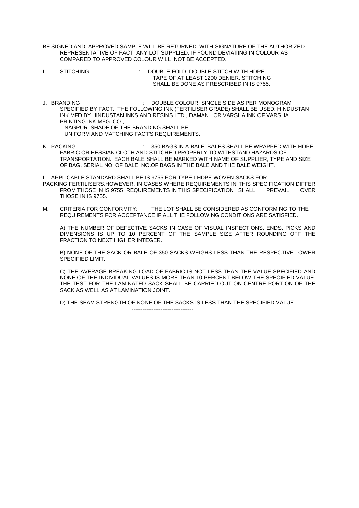- BE SIGNED AND APPROVED SAMPLE WILL BE RETURNED WITH SIGNATURE OF THE AUTHORIZED REPRESENTATIVE OF FACT. ANY LOT SUPPLIED, IF FOUND DEVIATING IN COLOUR AS COMPARED TO APPROVED COLOUR WILL NOT BE ACCEPTED.
- I. STITCHING : DOUBLE FOLD, DOUBLE STITCH WITH HDPE TAPE OF AT LEAST 1200 DENIER. STITCHING SHALL BE DONE AS PRESCRIBED IN IS 9755.
- J. BRANDING : DOUBLE COLOUR, SINGLE SIDE AS PER MONOGRAM SPECIFIED BY FACT. THE FOLLOWING INK (FERTILISER GRADE) SHALL BE USED: HINDUSTAN INK MFD BY HINDUSTAN INKS AND RESINS LTD., DAMAN. OR VARSHA INK OF VARSHA PRINTING INK MFG. CO., NAGPUR. SHADE OF THE BRANDING SHALL BE UNIFORM AND MATCHING FACT'S REQUIREMENTS.
- K. PACKING **IN A BAGS IN A BALE. BALES SHALL BE WRAPPED WITH HDPE** FABRIC OR HESSIAN CLOTH AND STITCHED PROPERLY TO WITHSTAND HAZARDS OF TRANSPORTATION. EACH BALE SHALL BE MARKED WITH NAME OF SUPPLIER, TYPE AND SIZE OF BAG, SERIAL NO. OF BALE, NO.OF BAGS IN THE BALE AND THE BALE WEIGHT.

L. APPLICABLE STANDARD SHALL BE IS 9755 FOR TYPE-I HDPE WOVEN SACKS FOR PACKING FERTILISERS.HOWEVER, IN CASES WHERE REQUIREMENTS IN THIS SPECIFICATION DIFFER FROM THOSE IN IS 9755, REQUIREMENTS IN THIS SPECIFICATION SHALL PREVAIL OVER THOSE IN IS 9755.

M. CRITERIA FOR CONFORMITY: THE LOT SHALL BE CONSIDERED AS CONFORMING TO THE REQUIREMENTS FOR ACCEPTANCE IF ALL THE FOLLOWING CONDITIONS ARE SATISFIED.

A) THE NUMBER OF DEFECTIVE SACKS IN CASE OF VISUAL INSPECTIONS, ENDS, PICKS AND DIMENSIONS IS UP TO 10 PERCENT OF THE SAMPLE SIZE AFTER ROUNDING OFF THE FRACTION TO NEXT HIGHER INTEGER.

B) NONE OF THE SACK OR BALE OF 350 SACKS WEIGHS LESS THAN THE RESPECTIVE LOWER SPECIFIED LIMIT.

C) THE AVERAGE BREAKING LOAD OF FABRIC IS NOT LESS THAN THE VALUE SPECIFIED AND NONE OF THE INDIVIDUAL VALUES IS MORE THAN 10 PERCENT BELOW THE SPECIFIED VALUE. THE TEST FOR THE LAMINATED SACK SHALL BE CARRIED OUT ON CENTRE PORTION OF THE SACK AS WELL AS AT LAMINATION JOINT.

D) THE SEAM STRENGTH OF NONE OF THE SACKS IS LESS THAN THE SPECIFIED VALUE

----------------------------------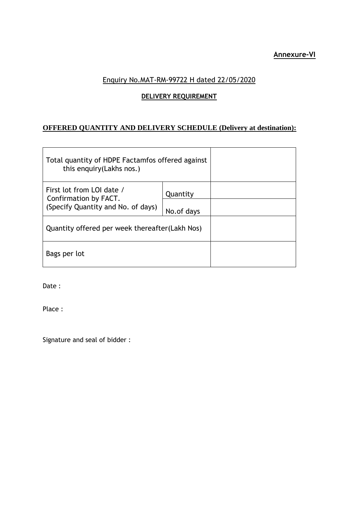## **Annexure-VI**

# Enquiry No.MAT-RM-99722 H dated 22/05/2020

# **DELIVERY REQUIREMENT**

# **OFFERED QUANTITY AND DELIVERY SCHEDULE (Delivery at destination):**

| Total quantity of HDPE Factamfos offered against<br>this enquiry (Lakhs nos.)            |            |  |
|------------------------------------------------------------------------------------------|------------|--|
| First lot from LOI date /<br>Confirmation by FACT.<br>(Specify Quantity and No. of days) | Quantity   |  |
|                                                                                          | No.of days |  |
| Quantity offered per week thereafter (Lakh Nos)                                          |            |  |
| Bags per lot                                                                             |            |  |

Date :

Place :

Signature and seal of bidder :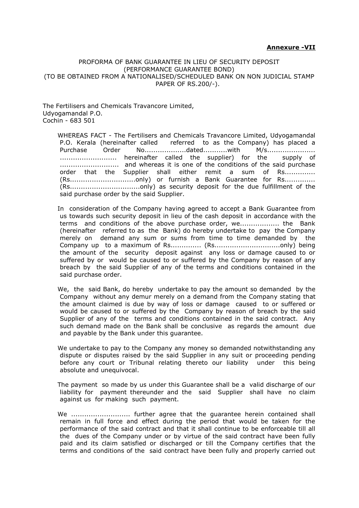#### **Annexure -VII**

#### PROFORMA OF BANK GUARANTEE IN LIEU OF SECURITY DEPOSIT (PERFORMANCE GUARANTEE BOND) (TO BE OBTAINED FROM A NATIONALISED/SCHEDULED BANK ON NON JUDICIAL STAMP PAPER OF RS.200/-).

The Fertilisers and Chemicals Travancore Limited, Udyogamandal P.O. Cochin - 683 501

 WHEREAS FACT - The Fertilisers and Chemicals Travancore Limited, Udyogamandal P.O. Kerala (hereinafter called referred to as the Company) has placed a Purchase Order No...................dated...........with M/s...................... .......................... hereinafter called the supplier) for the supply of ........................... and whereas it is one of the conditions of the said purchase order that the Supplier shall either remit a sum of Rs.............. (Rs..............................only) or furnish a Bank Guarantee for Rs.............. (Rs................................only) as security deposit for the due fulfillment of the said purchase order by the said Supplier.

 In consideration of the Company having agreed to accept a Bank Guarantee from us towards such security deposit in lieu of the cash deposit in accordance with the terms and conditions of the above purchase order, we.................. the Bank (hereinafter referred to as the Bank) do hereby undertake to pay the Company merely on demand any sum or sums from time to time demanded by the Company up to a maximum of Rs.............. (Rs..............................only) being the amount of the security deposit against any loss or damage caused to or suffered by or would be caused to or suffered by the Company by reason of any breach by the said Supplier of any of the terms and conditions contained in the said purchase order.

 We, the said Bank, do hereby undertake to pay the amount so demanded by the Company without any demur merely on a demand from the Company stating that the amount claimed is due by way of loss or damage caused to or suffered or would be caused to or suffered by the Company by reason of breach by the said Supplier of any of the terms and conditions contained in the said contract. Any such demand made on the Bank shall be conclusive as regards the amount due and payable by the Bank under this guarantee.

 We undertake to pay to the Company any money so demanded notwithstanding any dispute or disputes raised by the said Supplier in any suit or proceeding pending before any court or Tribunal relating thereto our liability under this being absolute and unequivocal.

 The payment so made by us under this Guarantee shall be a valid discharge of our liability for payment thereunder and the said Supplier shall have no claim against us for making such payment.

We ................................ further agree that the guarantee herein contained shall remain in full force and effect during the period that would be taken for the performance of the said contract and that it shall continue to be enforceable till all the dues of the Company under or by virtue of the said contract have been fully paid and its claim satisfied or discharged or till the Company certifies that the terms and conditions of the said contract have been fully and properly carried out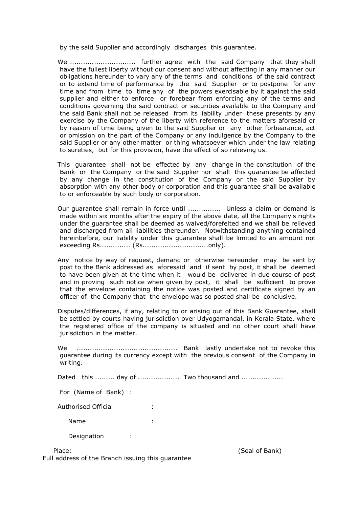by the said Supplier and accordingly discharges this guarantee.

 We .............................. further agree with the said Company that they shall have the fullest liberty without our consent and without affecting in any manner our obligations hereunder to vary any of the terms and conditions of the said contract or to extend time of performance by the said Supplier or to postpone for any time and from time to time any of the powers exercisable by it against the said supplier and either to enforce or forebear from enforcing any of the terms and conditions governing the said contract or securities available to the Company and the said Bank shall not be released from its liability under these presents by any exercise by the Company of the liberty with reference to the matters aforesaid or by reason of time being given to the said Supplier or any other forbearance, act or omission on the part of the Company or any indulgence by the Company to the said Supplier or any other matter or thing whatsoever which under the law relating to sureties, but for this provision, have the effect of so relieving us.

 This guarantee shall not be effected by any change in the constitution of the Bank or the Company or the said Supplier nor shall this guarantee be affected by any change in the constitution of the Company or the said Supplier by absorption with any other body or corporation and this guarantee shall be available to or enforceable by such body or corporation.

 Our guarantee shall remain in force until ............... Unless a claim or demand is made within six months after the expiry of the above date, all the Company's rights under the guarantee shall be deemed as waived/forefeited and we shall be relieved and discharged from all liabilities thereunder. Notwithstanding anything contained hereinbefore, our liability under this guarantee shall be limited to an amount not exceeding Rs.............. (Rs..............................only).

- Any notice by way of request, demand or otherwise hereunder may be sent by post to the Bank addressed as aforesaid and if sent by post, it shall be deemed to have been given at the time when it would be delivered in due course of post and in proving such notice when given by post, it shall be sufficient to prove that the envelope containing the notice was posted and certificate signed by an officer of the Company that the envelope was so posted shall be conclusive.
- Disputes/differences, if any, relating to or arising out of this Bank Guarantee, shall be settled by courts having jurisdiction over Udyogamandal, in Kerala State, where the registered office of the company is situated and no other court shall have jurisdiction in the matter.

 We .............................................. Bank lastly undertake not to revoke this guarantee during its currency except with the previous consent of the Company in writing.

Dated this ......... day of ..................... Two thousand and ...................

For (Name of Bank) :

Authorised Official :

Name :

Designation :

Full address of the Branch issuing this guarantee

Place: (Seal of Bank)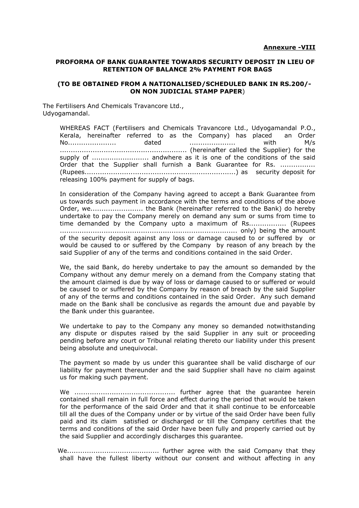#### **PROFORMA OF BANK GUARANTEE TOWARDS SECURITY DEPOSIT IN LIEU OF RETENTION OF BALANCE 2% PAYMENT FOR BAGS**

#### **(TO BE OBTAINED FROM A NATIONALISED/SCHEDULED BANK IN RS.200/- ON NON JUDICIAL STAMP PAPER**)

The Fertilisers And Chemicals Travancore Ltd., Udyogamandal.

> WHEREAS FACT (Fertilisers and Chemicals Travancore Ltd., Udyogamandal P.O., Kerala, hereinafter referred to as the Company) has placed an Order No...................... dated ..................... with M/s .......................................................... (hereinafter called the Supplier) for the supply of .......................... andwhere as it is one of the conditions of the said Order that the Supplier shall furnish a Bank Guarantee for Rs. ................ (Rupees.....................................................................) as security deposit for releasing 100% payment for supply of bags.

> In consideration of the Company having agreed to accept a Bank Guarantee from us towards such payment in accordance with the terms and conditions of the above Order, we........................ the Bank (hereinafter referred to the Bank) do hereby undertake to pay the Company merely on demand any sum or sums from time to time demanded by the Company upto a maximum of Rs................. (Rupees ................................................................................. only) being the amount of the security deposit against any loss or damage caused to or suffered by or would be caused to or suffered by the Company by reason of any breach by the said Supplier of any of the terms and conditions contained in the said Order.

> We, the said Bank, do hereby undertake to pay the amount so demanded by the Company without any demur merely on a demand from the Company stating that the amount claimed is due by way of loss or damage caused to or suffered or would be caused to or suffered by the Company by reason of breach by the said Supplier of any of the terms and conditions contained in the said Order. Any such demand made on the Bank shall be conclusive as regards the amount due and payable by the Bank under this guarantee.

> We undertake to pay to the Company any money so demanded notwithstanding any dispute or disputes raised by the said Supplier in any suit or proceeding pending before any court or Tribunal relating thereto our liability under this present being absolute and unequivocal.

> The payment so made by us under this guarantee shall be valid discharge of our liability for payment thereunder and the said Supplier shall have no claim against us for making such payment.

> We .............................................. further agree that the guarantee herein contained shall remain in full force and effect during the period that would be taken for the performance of the said Order and that it shall continue to be enforceable till all the dues of the Company under or by virtue of the said Order have been fully paid and its claim satisfied or discharged or till the Company certifies that the terms and conditions of the said Order have been fully and properly carried out by the said Supplier and accordingly discharges this guarantee.

> We.......................................... further agree with the said Company that they shall have the fullest liberty without our consent and without affecting in any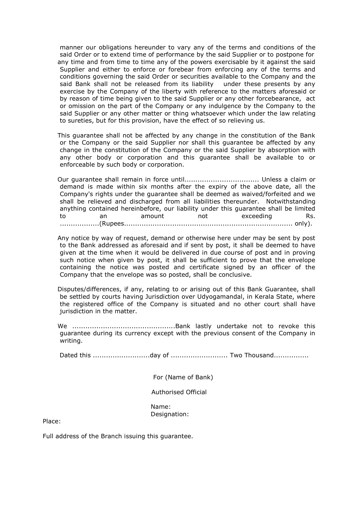manner our obligations hereunder to vary any of the terms and conditions of the said Order or to extend time of performance by the said Supplier or to postpone for any time and from time to time any of the powers exercisable by it against the said Supplier and either to enforce or forebear from enforcing any of the terms and conditions governing the said Order or securities available to the Company and the said Bank shall not be released from its liability under these presents by any exercise by the Company of the liberty with reference to the matters aforesaid or by reason of time being given to the said Supplier or any other forcebearance, act or omission on the part of the Company or any indulgence by the Company to the said Supplier or any other matter or thing whatsoever which under the law relating to sureties, but for this provision, have the effect of so relieving us.

 This guarantee shall not be affected by any change in the constitution of the Bank or the Company or the said Supplier nor shall this guarantee be affected by any change in the constitution of the Company or the said Supplier by absorption with any other body or corporation and this guarantee shall be available to or enforceable by such body or corporation.

 Our guarantee shall remain in force until.................................. Unless a claim or demand is made within six months after the expiry of the above date, all the Company's rights under the guarantee shall be deemed as waived/forfeited and we shall be relieved and discharged from all liabilities thereunder. Notwithstanding anything contained hereinbefore, our liability under this guarantee shall be limited to an amount not exceeding Rs. ..................(Rupees............................................................................. only).

 Any notice by way of request, demand or otherwise here under may be sent by post to the Bank addressed as aforesaid and if sent by post, it shall be deemed to have given at the time when it would be delivered in due course of post and in proving such notice when given by post, it shall be sufficient to prove that the envelope containing the notice was posted and certificate signed by an officer of the Company that the envelope was so posted, shall be conclusive.

 Disputes/differences, if any, relating to or arising out of this Bank Guarantee, shall be settled by courts having Jurisdiction over Udyogamandal, in Kerala State, where the registered office of the Company is situated and no other court shall have jurisdiction in the matter.

 We ...............................................Bank lastly undertake not to revoke this guarantee during its currency except with the previous consent of the Company in writing.

Dated this ..........................day of .......................... Two Thousand................

For (Name of Bank)

Authorised Official

 Name: Designation:

Place:

Full address of the Branch issuing this guarantee.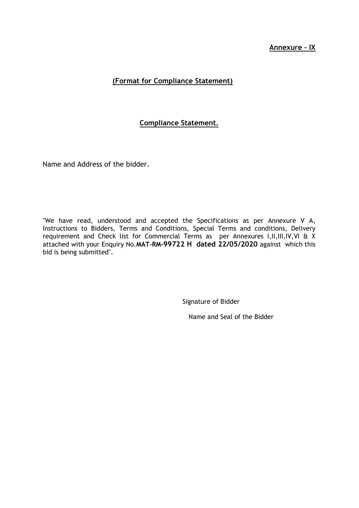## **Annexure – IX**

# **(Format for Compliance Statement)**

## **Compliance Statement.**

Name and Address of the bidder.

"We have read, understood and accepted the Specifications as per Annexure V A, Instructions to Bidders, Terms and Conditions, Special Terms and conditions, Delivery requirement and Check list for Commercial Terms as per Annexures I,II,III,IV,VI & X attached with your Enquiry No.**MAT-RM-99722 H dated 22/05/2020** against which this bid is being submitted".

Signature of Bidder

Name and Seal of the Bidder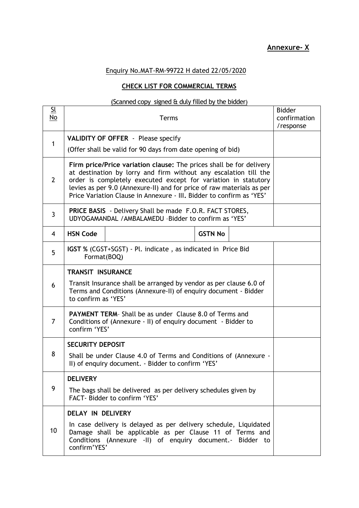# Enquiry No.MAT-RM-99722 H dated 22/05/2020

# **CHECK LIST FOR COMMERCIAL TERMS**

# (Scanned copy signed & duly filled by the bidder)

| $\underline{\underline{\mathsf{SL}}}$<br>No | <b>Terms</b>                                                                                                                                                                                                                                                                                                                                               |                                                                                                                                                                                           |                | <b>Bidder</b><br>confirmation<br>/response |  |
|---------------------------------------------|------------------------------------------------------------------------------------------------------------------------------------------------------------------------------------------------------------------------------------------------------------------------------------------------------------------------------------------------------------|-------------------------------------------------------------------------------------------------------------------------------------------------------------------------------------------|----------------|--------------------------------------------|--|
| $\mathbf{1}$                                | <b>VALIDITY OF OFFER</b> - Please specify                                                                                                                                                                                                                                                                                                                  |                                                                                                                                                                                           |                |                                            |  |
|                                             | (Offer shall be valid for 90 days from date opening of bid)                                                                                                                                                                                                                                                                                                |                                                                                                                                                                                           |                |                                            |  |
| 2                                           | Firm price/Price variation clause: The prices shall be for delivery<br>at destination by lorry and firm without any escalation till the<br>order is completely executed except for variation in statutory<br>levies as per 9.0 (Annexure-II) and for price of raw materials as per<br>Price Variation Clause in Annexure - III. Bidder to confirm as 'YES' |                                                                                                                                                                                           |                |                                            |  |
| $\mathbf{3}$                                | <b>PRICE BASIS</b> - Delivery Shall be made F.O.R. FACT STORES,<br>UDYOGAMANDAL / AMBALAMEDU - Bidder to confirm as 'YES'                                                                                                                                                                                                                                  |                                                                                                                                                                                           |                |                                            |  |
| 4                                           | <b>HSN Code</b>                                                                                                                                                                                                                                                                                                                                            |                                                                                                                                                                                           | <b>GSTN No</b> |                                            |  |
| 5                                           | <b>IGST %</b> (CGST+SGST) - Pl. indicate, as indicated in Price Bid<br>Format(BOQ)                                                                                                                                                                                                                                                                         |                                                                                                                                                                                           |                |                                            |  |
|                                             | <b>TRANSIT INSURANCE</b>                                                                                                                                                                                                                                                                                                                                   |                                                                                                                                                                                           |                |                                            |  |
| 6                                           | Transit Insurance shall be arranged by vendor as per clause 6.0 of<br>Terms and Conditions (Annexure-II) of enquiry document - Bidder<br>to confirm as 'YES'                                                                                                                                                                                               |                                                                                                                                                                                           |                |                                            |  |
| 7                                           | <b>PAYMENT TERM-</b> Shall be as under Clause 8.0 of Terms and<br>Conditions of (Annexure - II) of enquiry document - Bidder to<br>confirm 'YES'                                                                                                                                                                                                           |                                                                                                                                                                                           |                |                                            |  |
| 8                                           | <b>SECURITY DEPOSIT</b>                                                                                                                                                                                                                                                                                                                                    |                                                                                                                                                                                           |                |                                            |  |
|                                             | Shall be under Clause 4.0 of Terms and Conditions of (Annexure -<br>II) of enquiry document. - Bidder to confirm 'YES'                                                                                                                                                                                                                                     |                                                                                                                                                                                           |                |                                            |  |
|                                             | <b>DELIVERY</b>                                                                                                                                                                                                                                                                                                                                            |                                                                                                                                                                                           |                |                                            |  |
| 9                                           | The bags shall be delivered as per delivery schedules given by<br>FACT- Bidder to confirm 'YES'                                                                                                                                                                                                                                                            |                                                                                                                                                                                           |                |                                            |  |
|                                             | DELAY IN DELIVERY                                                                                                                                                                                                                                                                                                                                          |                                                                                                                                                                                           |                |                                            |  |
| 10                                          | confirm'YES'                                                                                                                                                                                                                                                                                                                                               | In case delivery is delayed as per delivery schedule, Liquidated<br>Damage shall be applicable as per Clause 11 of Terms and<br>Conditions (Annexure -II) of enquiry document.- Bidder to |                |                                            |  |